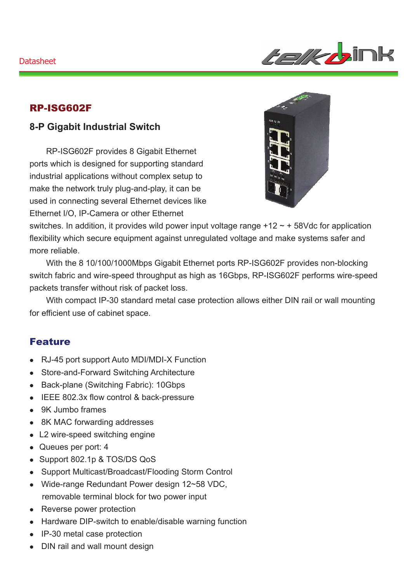

### RP-ISG602F

## **8-P Gigabit Industrial Switch**

RP-ISG602F provides 8 Gigabit Ethernet ports which is designed for supporting standard industrial applications without complex setup to make the network truly plug-and-play, it can be used in connecting several Ethernet devices like Ethernet I/O, IP-Camera or other Ethernet



switches. In addition, it provides wild power input voltage range  $+12 \sim +58$  Vdc for application flexibility which secure equipment against unregulated voltage and make systems safer and more reliable.

With the 8 10/100/1000Mbps Gigabit Ethernet ports RP-ISG602F provides non-blocking switch fabric and wire-speed throughput as high as 16Gbps, RP-ISG602F performs wire-speed packets transfer without risk of packet loss.

With compact IP-30 standard metal case protection allows either DIN rail or wall mounting for efficient use of cabinet space.

#### Feature

- RJ-45 port support Auto MDI/MDI-X Function
- Store-and-Forward Switching Architecture
- Back-plane (Switching Fabric): 10Gbps
- IEEE 802.3x flow control & back-pressure
- 9K Jumbo frames
- 8K MAC forwarding addresses
- L2 wire-speed switching engine
- Queues per port: 4
- Support 802.1p & TOS/DS QoS
- Support Multicast/Broadcast/Flooding Storm Control
- Wide-range Redundant Power design 12~58 VDC, removable terminal block for two power input
- Reverse power protection
- Hardware DIP-switch to enable/disable warning function
- IP-30 metal case protection
- DIN rail and wall mount design